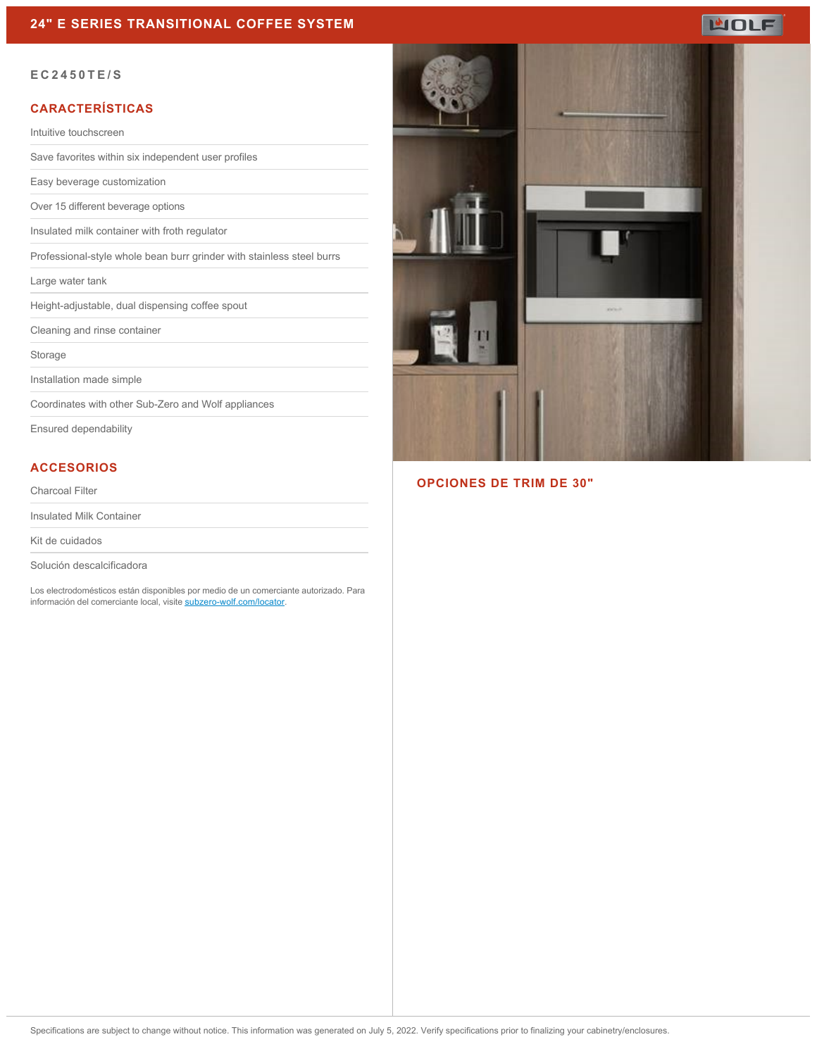

#### **EC2450TE/S**

### **CARACTERÍSTICAS**

Intuitive touchscreen

Save favorites within six independent user profiles

Easy beverage customization

Over 15 different beverage options

Insulated milk container with froth regulator

Professional-style whole bean burr grinder with stainless steel burrs

Large water tank

Height-adjustable, dual dispensing coffee spout

Cleaning and rinse container

Storage

Installation made simple

Coordinates with other Sub-Zero and Wolf appliances

Ensured dependability

## **ACCESORIOS**

Charcoal Filter

Insulated Milk Container

Kit de cuidados

Solución descalcificadora

Los electrodomésticos están disponibles por medio de un comerciante autorizado. Para información del comerciante local, visite [subzero-wolf.com/locator](http://www.subzero-wolf.com/locator).



#### **OPCIONES DE TRIM DE 30"**

Specifications are subject to change without notice. This information was generated on July 5, 2022. Verify specifications prior to finalizing your cabinetry/enclosures.